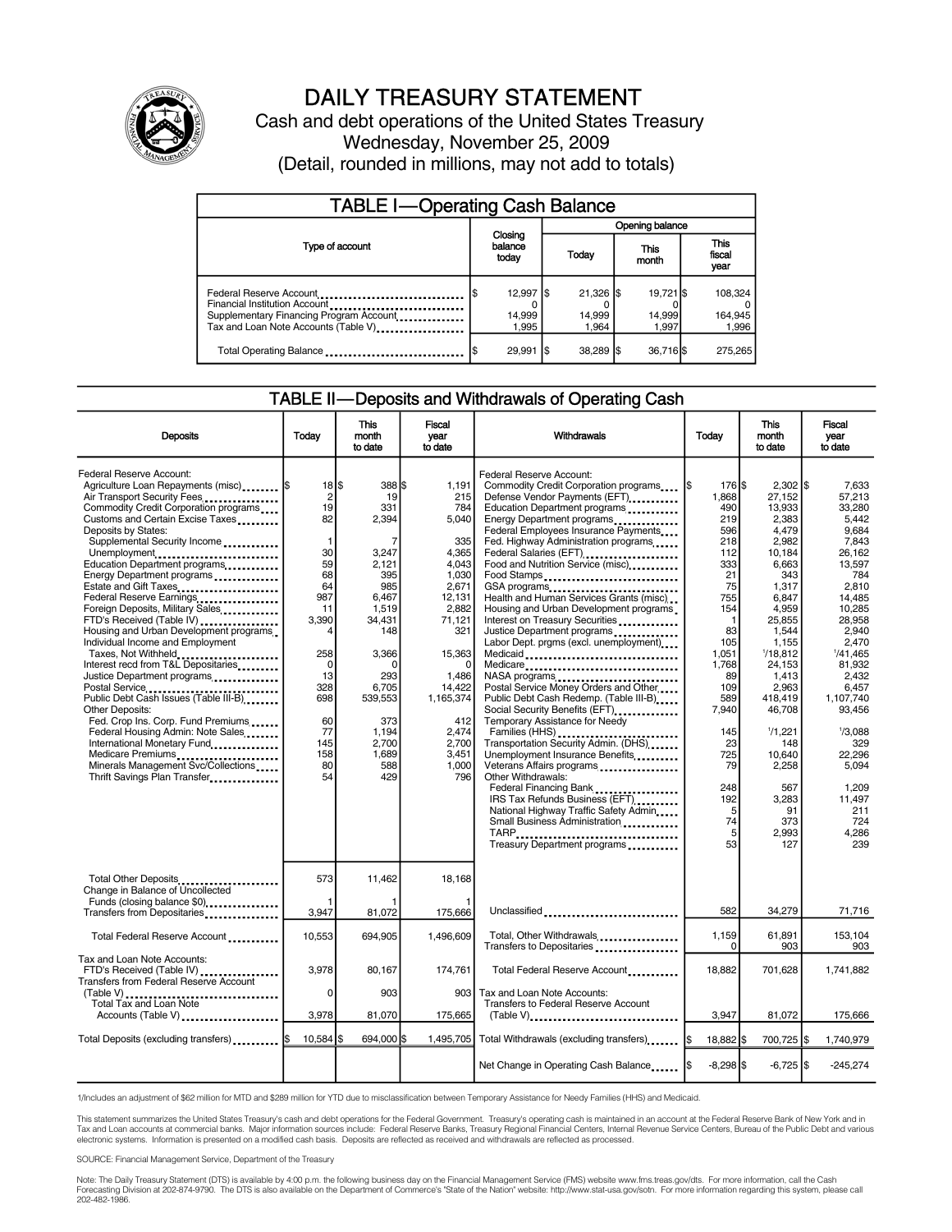

## DAILY TREASURY STATEMENT

Cash and debt operations of the United States Treasury Wednesday, November 25, 2009 (Detail, rounded in millions, may not add to totals)

| <b>TABLE I-Operating Cash Balance</b>                                                                                                       |                               |      |                               |  |                              |  |                               |  |
|---------------------------------------------------------------------------------------------------------------------------------------------|-------------------------------|------|-------------------------------|--|------------------------------|--|-------------------------------|--|
|                                                                                                                                             | Closing<br>balance<br>today   |      | Opening balance               |  |                              |  |                               |  |
| Type of account                                                                                                                             |                               |      | Today                         |  | This<br>month                |  | <b>This</b><br>fiscal<br>year |  |
| Federal Reserve Account<br>Financial Institution Account<br>Supplementary Financing Program Account<br>Tax and Loan Note Accounts (Table V) | $12.997$ S<br>14,999<br>1.995 |      | $21.326$ S<br>14,999<br>1.964 |  | 19.721 \$<br>14,999<br>1.997 |  | 108,324<br>164,945<br>1,996   |  |
| Total Operating Balance                                                                                                                     | 29,991                        | - 15 | $38,289$ \$                   |  | 36,716 \$                    |  | 275.265                       |  |

#### TABLE II—Deposits and Withdrawals of Operating Cash

| <b>Deposits</b>                                                                                                                                                                                                                                                                                                                                                                                                                                                                                                                                                                                                                                                                                                                                                                                                                                                                                        | Todav                                                                                                                                                                                               | <b>This</b><br>month<br>to date                                                                                                                                                                      | <b>Fiscal</b><br>year<br>to date                                                                                                                                                                        | Withdrawals                                                                                                                                                                                                                                                                                                                                                                                                                                                                                                                                                                                                                                                                                                                                                                                                                                                                                                                                                                                                                                                           | Today                                                                                                                                                                                                                      | <b>This</b><br>month<br>to date                                                                                                                                                                                                                                                           | <b>Fiscal</b><br>year<br>to date                                                                                                                                                                                                                                                              |
|--------------------------------------------------------------------------------------------------------------------------------------------------------------------------------------------------------------------------------------------------------------------------------------------------------------------------------------------------------------------------------------------------------------------------------------------------------------------------------------------------------------------------------------------------------------------------------------------------------------------------------------------------------------------------------------------------------------------------------------------------------------------------------------------------------------------------------------------------------------------------------------------------------|-----------------------------------------------------------------------------------------------------------------------------------------------------------------------------------------------------|------------------------------------------------------------------------------------------------------------------------------------------------------------------------------------------------------|---------------------------------------------------------------------------------------------------------------------------------------------------------------------------------------------------------|-----------------------------------------------------------------------------------------------------------------------------------------------------------------------------------------------------------------------------------------------------------------------------------------------------------------------------------------------------------------------------------------------------------------------------------------------------------------------------------------------------------------------------------------------------------------------------------------------------------------------------------------------------------------------------------------------------------------------------------------------------------------------------------------------------------------------------------------------------------------------------------------------------------------------------------------------------------------------------------------------------------------------------------------------------------------------|----------------------------------------------------------------------------------------------------------------------------------------------------------------------------------------------------------------------------|-------------------------------------------------------------------------------------------------------------------------------------------------------------------------------------------------------------------------------------------------------------------------------------------|-----------------------------------------------------------------------------------------------------------------------------------------------------------------------------------------------------------------------------------------------------------------------------------------------|
| Federal Reserve Account:<br>Agriculture Loan Repayments (misc)<br>Air Transport Security Fees<br>Commodity Credit Corporation programs<br>Customs and Certain Excise Taxes<br>Deposits by States:<br>Supplemental Security Income<br>Unemployment<br>Education Department programs<br>Energy Department programs<br>Estate and Gift Taxes<br>Federal Reserve Earnings<br>Foreign Deposits, Military Sales<br>FTD's Received (Table IV)<br>Housing and Urban Development programs.<br>Individual Income and Employment<br>Taxes, Not Withheld<br>Interest recd from T&L Depositaries<br>Justice Department programs<br>Postal Service<br>Public Debt Cash Issues (Table III-B)<br>Other Deposits:<br>Fed. Crop Ins. Corp. Fund Premiums<br>Federal Housing Admin: Note Sales<br>International Monetary Fund<br>Medicare Premiums<br>Minerals Management Svc/Collections<br>Thrift Savings Plan Transfer | $18$ $\frac{1}{3}$<br>$\overline{2}$<br>19<br>82<br>$\mathbf{1}$<br>30<br>59<br>68<br>64<br>987<br>11<br>3,390<br>4<br>258<br>$\mathbf 0$<br>13<br>328<br>698<br>60<br>77<br>145<br>158<br>80<br>54 | 388 \$<br>19<br>331<br>2,394<br>7<br>3,247<br>2.121<br>395<br>985<br>6,467<br>1,519<br>34,431<br>148<br>3,366<br>$\Omega$<br>293<br>6,705<br>539,553<br>373<br>1,194<br>2,700<br>1.689<br>588<br>429 | 1,191<br>215<br>784<br>5,040<br>335<br>4,365<br>4.043<br>1,030<br>2,671<br>12,131<br>2,882<br>71,121<br>321<br>15,363<br>1,486<br>14,422<br>1,165,374<br>412<br>2,474<br>2,700<br>3.451<br>1,000<br>796 | Federal Reserve Account:<br>Commodity Credit Corporation programs<br>Defense Vendor Payments (EFT)<br>Education Department programs<br>Energy Department programs<br>Federal Employees Insurance Payments<br>Fed. Highway Administration programs<br>Federal Salaries (EFT)<br><br>Food and Nutrition Service (misc).<br>Food Stamps<br>GSA programs<br>Health and Human Services Grants (misc)<br>Housing and Urban Development programs<br>Interest on Treasury Securities<br>Justice Department programs<br>Labor Dept. prgms (excl. unemployment)<br>Medicaid<br>Medicare<br>NASA programs<br>Postal Service Money Orders and Other<br>Public Debt Cash Redemp. (Table III-B)<br>Social Security Benefits (EFT)<br>Temporary Assistance for Needy<br>Transportation Security Admin. (DHS)<br>Unemployment Insurance Benefits<br>Veterans Affairs programs<br><br>Other Withdrawals:<br>Federal Financing Bank<br>IRS Tax Refunds Business (EFT)<br>National Highway Traffic Safety Admin<br>Small Business Administration<br>TARP<br>Treasury Department programs | 176 \$<br>I\$<br>1.868<br>490<br>219<br>596<br>218<br>112<br>333<br>21<br>75<br>755<br>154<br>-1<br>83<br>105<br>1,051<br>1,768<br>89<br>109<br>589<br>7.940<br>145<br>23<br>725<br>79<br>248<br>192<br>5<br>74<br>5<br>53 | $2,302$ \$<br>27.152<br>13,933<br>2,383<br>4,479<br>2,982<br>10,184<br>6,663<br>343<br>1,317<br>6,847<br>4,959<br>25,855<br>1,544<br>1.155<br>1/18,812<br>24,153<br>1,413<br>2,963<br>418.419<br>46.708<br>1/1,221<br>148<br>10.640<br>2,258<br>567<br>3.283<br>91<br>373<br>2,993<br>127 | 7.633<br>57.213<br>33,280<br>5,442<br>9.684<br>7,843<br>26.162<br>13.597<br>784<br>2,810<br>14,485<br>10.285<br>28.958<br>2.940<br>2.470<br>1/41.465<br>81,932<br>2.432<br>6,457<br>1.107.740<br>93.456<br>1/3,088<br>329<br>22.296<br>5.094<br>1.209<br>11.497<br>211<br>724<br>4.286<br>239 |
| Total Other Deposits<br>Change in Balance of Uncollected<br>Funds (closing balance \$0)<br>Transfers from Depositaries                                                                                                                                                                                                                                                                                                                                                                                                                                                                                                                                                                                                                                                                                                                                                                                 | 573<br>3,947                                                                                                                                                                                        | 11,462<br>81,072                                                                                                                                                                                     | 18.168<br>175,666                                                                                                                                                                                       | Unclassified                                                                                                                                                                                                                                                                                                                                                                                                                                                                                                                                                                                                                                                                                                                                                                                                                                                                                                                                                                                                                                                          | 582                                                                                                                                                                                                                        | 34,279                                                                                                                                                                                                                                                                                    | 71,716                                                                                                                                                                                                                                                                                        |
| Total Federal Reserve Account                                                                                                                                                                                                                                                                                                                                                                                                                                                                                                                                                                                                                                                                                                                                                                                                                                                                          | 10,553                                                                                                                                                                                              | 694,905                                                                                                                                                                                              | 1.496.609                                                                                                                                                                                               | Total, Other Withdrawals<br>Transfers to Depositaries                                                                                                                                                                                                                                                                                                                                                                                                                                                                                                                                                                                                                                                                                                                                                                                                                                                                                                                                                                                                                 | 1,159<br>0                                                                                                                                                                                                                 | 61,891<br>903                                                                                                                                                                                                                                                                             | 153,104<br>903                                                                                                                                                                                                                                                                                |
| Tax and Loan Note Accounts:<br>FTD's Received (Table IV)<br><b>Transfers from Federal Reserve Account</b><br>(Table V)<br>Total Tax and Loan Note<br>Accounts (Table V)                                                                                                                                                                                                                                                                                                                                                                                                                                                                                                                                                                                                                                                                                                                                | 3.978<br>0<br>3,978                                                                                                                                                                                 | 80.167<br>903<br>81,070                                                                                                                                                                              | 174,761<br>903 <sub>l</sub><br>175,665                                                                                                                                                                  | Total Federal Reserve Account<br>Tax and Loan Note Accounts:<br><b>Transfers to Federal Reserve Account</b><br>$(Table V)$                                                                                                                                                                                                                                                                                                                                                                                                                                                                                                                                                                                                                                                                                                                                                                                                                                                                                                                                            | 18.882<br>3,947                                                                                                                                                                                                            | 701.628<br>81,072                                                                                                                                                                                                                                                                         | 1,741,882<br>175,666                                                                                                                                                                                                                                                                          |
| Total Deposits (excluding transfers)  \$                                                                                                                                                                                                                                                                                                                                                                                                                                                                                                                                                                                                                                                                                                                                                                                                                                                               | 10.584 S                                                                                                                                                                                            | 694.000 \$                                                                                                                                                                                           |                                                                                                                                                                                                         | 1,495,705   Total Withdrawals (excluding transfers) [\$                                                                                                                                                                                                                                                                                                                                                                                                                                                                                                                                                                                                                                                                                                                                                                                                                                                                                                                                                                                                               | 18,882 \$                                                                                                                                                                                                                  | 700,725 \$                                                                                                                                                                                                                                                                                | 1,740,979                                                                                                                                                                                                                                                                                     |
|                                                                                                                                                                                                                                                                                                                                                                                                                                                                                                                                                                                                                                                                                                                                                                                                                                                                                                        |                                                                                                                                                                                                     |                                                                                                                                                                                                      |                                                                                                                                                                                                         | Net Change in Operating Cash Balance                                                                                                                                                                                                                                                                                                                                                                                                                                                                                                                                                                                                                                                                                                                                                                                                                                                                                                                                                                                                                                  | $-8,298$ \$                                                                                                                                                                                                                | $-6,725$ \$                                                                                                                                                                                                                                                                               | $-245.274$                                                                                                                                                                                                                                                                                    |

1/Includes an adjustment of \$62 million for MTD and \$289 million for YTD due to misclassification between Temporary Assistance for Needy Families (HHS) and Medicaid.

This statement summarizes the United States Treasury's cash and debt operations for the Federal Government. Treasury's operating cash is maintained in an account at the Federal Reserve Bank of New York and in<br>Tax and Loan

SOURCE: Financial Management Service, Department of the Treasury

Note: The Daily Treasury Statement (DTS) is available by 4:00 p.m. the following business day on the Financial Management Service (FMS) website www.fms.treas.gov/dts. For more information, call the Cash Forecasting Division at 202-874-9790. The DTS is also available on the Department of Commerce's "State of the Nation" website: http://www.stat-usa.gov/sotn. For more information regarding this system, please call<br>202-482-1